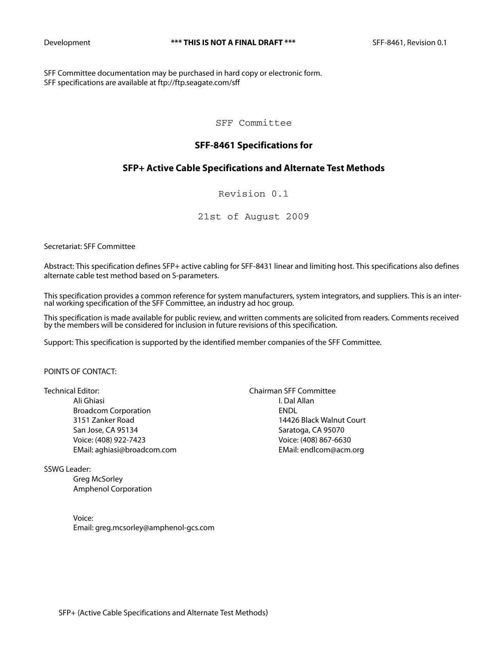SFF Committee documentation may be purchased in hard copy or electronic form. SFF specifications are available at ftp://ftp.seagate.com/sff

SFF Committee

#### **SFF-8461 Specifications for**

#### **SFP+ Active Cable Specifications and Alternate Test Methods**

Revision 0.1

21st of August 2009

Secretariat: SFF Committee

Abstract: This specification defines SFP+ active cabling for SFF-8431 linear and limiting host. This specifications also defines alternate cable test method based on S-parameters.

This specification provides a common reference for system manufacturers, system integrators, and suppliers. This is an inter-<br>nal working specification of the SFF Committee, an industry ad hoc group.

This specification is made available for public review, and written comments are solicited from readers. Comments received by the members will be considered for inclusion in future revisions of this specification.

Support: This specification is supported by the identified member companies of the SFF Committee.

#### POINTS OF CONTACT:

Ali Ghiasi I. Dal Allan Broadcom Corporation **ENDL** San Jose, CA 95134 Saratoga, CA 95070 Voice: (408) 922-7423 Voice: (408) 867-6630

SSWG Leader:

Greg McSorley Amphenol Corporation

Voice: Email: greg.mcsorley@amphenol-gcs.com

Technical Editor: Chairman SFF Committee 3151 Zanker Road 14426 Black Walnut Court EMail: aghiasi@broadcom.com et also a series are series and EMail: endlcom@acm.org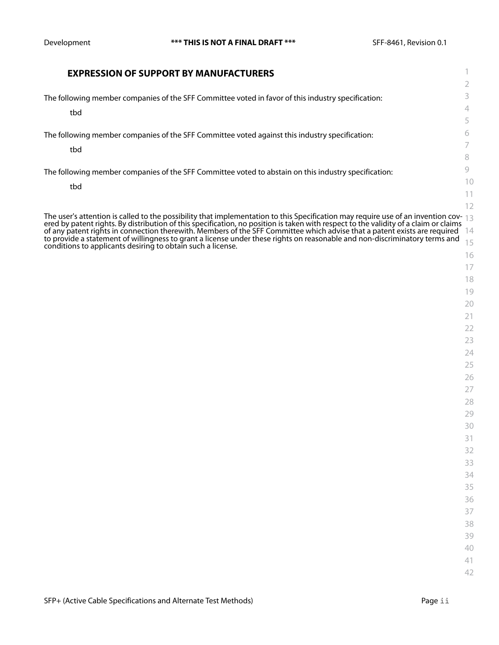| <b>EXPRESSION OF SUPPORT BY MANUFACTURERS</b>                                                                                                                                                                                  | 1                                                         |
|--------------------------------------------------------------------------------------------------------------------------------------------------------------------------------------------------------------------------------|-----------------------------------------------------------|
|                                                                                                                                                                                                                                | 2                                                         |
| The following member companies of the SFF Committee voted in favor of this industry specification:                                                                                                                             | 3                                                         |
| tbd                                                                                                                                                                                                                            | $\sqrt{\phantom{a}}$                                      |
|                                                                                                                                                                                                                                | 5                                                         |
| The following member companies of the SFF Committee voted against this industry specification:                                                                                                                                 | 6                                                         |
| tbd                                                                                                                                                                                                                            | 7                                                         |
|                                                                                                                                                                                                                                | 8                                                         |
| The following member companies of the SFF Committee voted to abstain on this industry specification:                                                                                                                           | $\mathcal{G}% _{M_{1},M_{2}}^{\alpha,\beta}(\mathcal{G})$ |
| tbd                                                                                                                                                                                                                            | 10                                                        |
|                                                                                                                                                                                                                                | 11                                                        |
| The user's attention is called to the possibility that implementation to this Specification may require use of an invention cov- $13$                                                                                          | 12                                                        |
| ered by patent rights. By distribution of this specification, no position is taken with respect to the validity of a claim or claims of any patent rights in connection therewith. Members of the SFF Committee which advise t |                                                           |
|                                                                                                                                                                                                                                | 14                                                        |
| to provide a statement of willingness to grant a license under these rights on reasonable and non-discriminatory terms and<br>conditions to applicants desiring to obtain such a license.                                      | 15                                                        |
|                                                                                                                                                                                                                                | 16<br>17                                                  |
|                                                                                                                                                                                                                                | 18                                                        |
|                                                                                                                                                                                                                                | 19                                                        |
|                                                                                                                                                                                                                                | 20                                                        |
|                                                                                                                                                                                                                                | 21                                                        |
|                                                                                                                                                                                                                                | 22                                                        |
|                                                                                                                                                                                                                                | 23                                                        |
|                                                                                                                                                                                                                                | 24                                                        |
|                                                                                                                                                                                                                                | 25                                                        |
|                                                                                                                                                                                                                                | 26                                                        |
|                                                                                                                                                                                                                                | 27                                                        |
|                                                                                                                                                                                                                                | 28                                                        |
|                                                                                                                                                                                                                                | 29                                                        |
|                                                                                                                                                                                                                                | 30                                                        |
|                                                                                                                                                                                                                                | 31                                                        |
|                                                                                                                                                                                                                                | 32                                                        |
|                                                                                                                                                                                                                                | 33                                                        |
|                                                                                                                                                                                                                                | 34                                                        |
|                                                                                                                                                                                                                                | 35<br>36                                                  |
|                                                                                                                                                                                                                                | 37                                                        |
|                                                                                                                                                                                                                                | 38                                                        |
|                                                                                                                                                                                                                                | 39                                                        |
|                                                                                                                                                                                                                                | $40\,$                                                    |
|                                                                                                                                                                                                                                | 41                                                        |
|                                                                                                                                                                                                                                | 42                                                        |
|                                                                                                                                                                                                                                |                                                           |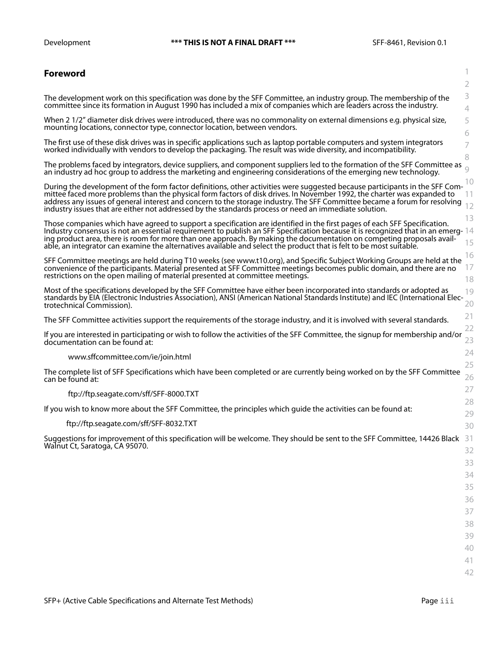#### 1 2 3 4 5 6 7 8  $\circ$ 10 11 address any issues of general interest and concern to the storage industry. The SFF Committee became a forum for resolving  $\,$  12  $\,$ 13 Those companies which have agreed to support a specification are identified in the first pages of each SFF Specification.<br>Industry consensus is not an essential requirement to publish an SFF Specification because it is rec 15 16 17 18 19  $20$ 21 22 23 24 25 26 27 28 29  $30$ Suggestions for improvement of this specification will be welcome. They should be sent to the SFF Committee, 14426 Black 31 32 33 34 35 36 37 38 39 40 41 42 **Foreword** The development work on this specification was done by the SFF Committee, an industry group. The membership of the committee since its formation in August 1990 has included a mix of companies which are leaders across the industry. When 2 1/2" diameter disk drives were introduced, there was no commonality on external dimensions e.g. physical size, mounting locations, connector type, connector location, between vendors. The first use of these disk drives was in specific applications such as laptop portable computers and system integrators worked individually with vendors to develop the packaging. The result was wide diversity, and incompatibility. The problems faced by integrators, device suppliers, and component suppliers led to the formation of the SFF Committee as an industry ad hoc group to address the marketing and engineering considerations of the emerging new technology. During the development of the form factor definitions, other activities were suggested because participants in the SFF Com-<br>mittee faced more problems than the physical form factors of disk drives. In November 1992, the ch industry issues that are either not addressed by the standards process or need an immediate solution. Industry consensus is not an essential requirement to publish an SFF Specification because it is recognized that in an emerg-<br>ing product area, there is room for more than one approach. By making the documentation on compe SFF Committee meetings are held during T10 weeks (see www.t10.org), and Specific Subject Working Groups are held at the convenience of the participants. Material presented at SFF Committee meetings becomes public domain, and there are no restrictions on the open mailing of material presented at committee meetings. Most of the specifications developed by the SFF Committee have either been incorporated into standards or adopted as standards by EIA (Electronic Industries Association), ANSI (American National Standards Institute) and IEC (International Elec- trotechnical Commission). The SFF Committee activities support the requirements of the storage industry, and it is involved with several standards. If you are interested in participating or wish to follow the activities of the SFF Committee, the signup for membership and/or documentation can be found at: www.sffcommittee.com/ie/join.html The complete list of SFF Specifications which have been completed or are currently being worked on by the SFF Committee can be found at: ftp://ftp.seagate.com/sff/SFF-8000.TXT If you wish to know more about the SFF Committee, the principles which guide the activities can be found at: ftp://ftp.seagate.com/sff/SFF-8032.TXT Walnut Ct, Saratoga, CA 95070.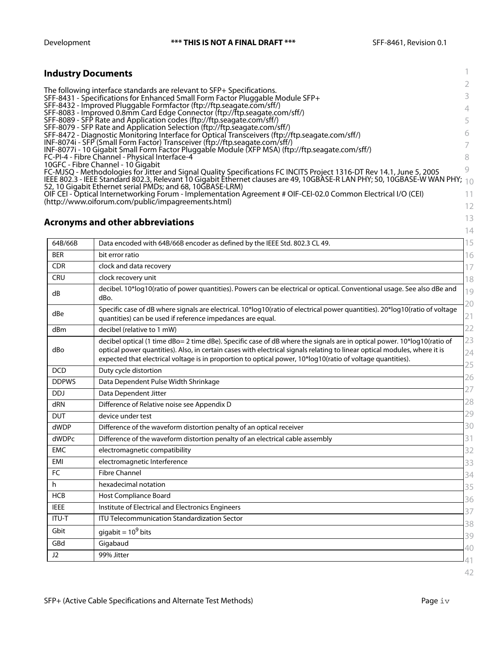13 14

#### **Industry Documents**

2 3 4 5 6 7 8 9 10 11 12 The following interface standards are relevant to SFP+ Specifications. SFF-8431 - Specifications for Enhanced Small Form Factor Pluggable Module SFP+ SFF-8432 - Improved Pluggable Formfactor (ftp://ftp.seagate.com/sff/) SFF-8083 - Improved 0.8mm Card Edge Connector (ftp://ftp.seagate.com/sff/) SFF-8089 - SFP Rate and Application codes (ftp://ftp.seagate.com/sff/) SFF-8079 - SFP Rate and Application Selection (ftp://ftp.seagate.com/sff/) SFF-8472 - Diagnostic Monitoring Interface for Optical Transceivers (ftp://ftp.seagate.com/sff/) INF-8074i - SFP (Small Form Factor) Transceiver (ftp://ftp.seagate.com/sff/) INF-8077i - 10 Gigabit Small Form Factor Pluggable Module (XFP MSA) (ftp://ftp.seagate.com/sff/) FC-PI-4 - Fibre Channel - Physical Interface-4 10GFC - Fibre Channel - 10 Gigabit FC-MJSQ - Methodologies for Jitter and Signal Quality Specifications FC INCITS Project 1316-DT Rev 14.1, June 5, 2005 IEEE 802.3 - IEEE Standard 802.3, Relevant 10 Gigabit Ethernet clauses are 49, 10GBASE-R LAN PHY; 50, 10GBASE-W WAN PHY; 52, 10 Gigabit Ethernet serial PMDs; and 68, 10GBASE-LRM) OIF CEI - Optical Internetworking Forum - Implementation Agreement # OIF-CEI-02.0 Common Electrical I/O (CEI) (http://www.oiforum.com/public/impagreements.html)

### **Acronyms and other abbreviations**

| 64B/66B      | Data encoded with 64B/66B encoder as defined by the IEEE Std. 802.3 CL 49.                                                                                                                                                                                                                                                                                         |
|--------------|--------------------------------------------------------------------------------------------------------------------------------------------------------------------------------------------------------------------------------------------------------------------------------------------------------------------------------------------------------------------|
| <b>BER</b>   | bit error ratio                                                                                                                                                                                                                                                                                                                                                    |
| <b>CDR</b>   | clock and data recovery                                                                                                                                                                                                                                                                                                                                            |
| CRU          | clock recovery unit                                                                                                                                                                                                                                                                                                                                                |
| dB           | decibel. 10*log10(ratio of power quantities). Powers can be electrical or optical. Conventional usage. See also dBe and<br>dBo.                                                                                                                                                                                                                                    |
| dBe          | Specific case of dB where signals are electrical. 10*log10(ratio of electrical power quantities). 20*log10(ratio of voltage<br>quantities) can be used if reference impedances are equal.                                                                                                                                                                          |
| dBm          | decibel (relative to 1 mW)                                                                                                                                                                                                                                                                                                                                         |
| dBo          | decibel optical (1 time dBo= 2 time dBe). Specific case of dB where the signals are in optical power. 10*log10(ratio of<br>optical power quantities). Also, in certain cases with electrical signals relating to linear optical modules, where it is<br>expected that electrical voltage is in proportion to optical power, 10*log10(ratio of voltage quantities). |
| <b>DCD</b>   | Duty cycle distortion                                                                                                                                                                                                                                                                                                                                              |
| <b>DDPWS</b> | Data Dependent Pulse Width Shrinkage                                                                                                                                                                                                                                                                                                                               |
| <b>DDJ</b>   | Data Dependent Jitter                                                                                                                                                                                                                                                                                                                                              |
| dRN          | Difference of Relative noise see Appendix D                                                                                                                                                                                                                                                                                                                        |
| <b>DUT</b>   | device under test                                                                                                                                                                                                                                                                                                                                                  |
| dWDP         | Difference of the waveform distortion penalty of an optical receiver                                                                                                                                                                                                                                                                                               |
| dWDPc        | Difference of the waveform distortion penalty of an electrical cable assembly                                                                                                                                                                                                                                                                                      |
| <b>EMC</b>   | electromagnetic compatibility                                                                                                                                                                                                                                                                                                                                      |
| EMI          | electromagnetic Interference                                                                                                                                                                                                                                                                                                                                       |
| FC           | <b>Fibre Channel</b>                                                                                                                                                                                                                                                                                                                                               |
| h            | hexadecimal notation                                                                                                                                                                                                                                                                                                                                               |
| <b>HCB</b>   | <b>Host Compliance Board</b>                                                                                                                                                                                                                                                                                                                                       |
| <b>IEEE</b>  | Institute of Electrical and Electronics Engineers                                                                                                                                                                                                                                                                                                                  |
| <b>ITU-T</b> | <b>ITU Telecommunication Standardization Sector</b>                                                                                                                                                                                                                                                                                                                |
| Gbit         | gigabit = $10^9$ bits                                                                                                                                                                                                                                                                                                                                              |
| GBd          | Gigabaud                                                                                                                                                                                                                                                                                                                                                           |
| J2           | 99% Jitter                                                                                                                                                                                                                                                                                                                                                         |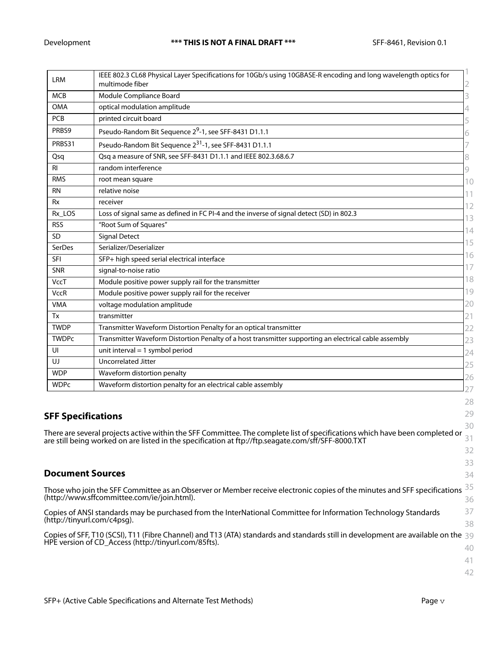| <b>LRM</b>     | IEEE 802.3 CL68 Physical Layer Specifications for 10Gb/s using 10GBASE-R encoding and long wavelength optics for<br>multimode fiber |  |
|----------------|-------------------------------------------------------------------------------------------------------------------------------------|--|
| <b>MCB</b>     | Module Compliance Board                                                                                                             |  |
| <b>OMA</b>     | optical modulation amplitude                                                                                                        |  |
| <b>PCB</b>     | printed circuit board                                                                                                               |  |
| PRBS9          | Pseudo-Random Bit Sequence 2 <sup>9</sup> -1, see SFF-8431 D1.1.1                                                                   |  |
| PRBS31         | Pseudo-Random Bit Sequence 2 <sup>31</sup> -1, see SFF-8431 D1.1.1                                                                  |  |
| Qsq            | Qsq a measure of SNR, see SFF-8431 D1.1.1 and IEEE 802.3.68.6.7                                                                     |  |
| R <sub>l</sub> | random interference                                                                                                                 |  |
| <b>RMS</b>     | root mean square                                                                                                                    |  |
| <b>RN</b>      | relative noise                                                                                                                      |  |
| <b>Rx</b>      | receiver                                                                                                                            |  |
| Rx_LOS         | Loss of signal same as defined in FC PI-4 and the inverse of signal detect (SD) in 802.3                                            |  |
| <b>RSS</b>     | "Root Sum of Squares"                                                                                                               |  |
| <b>SD</b>      | <b>Signal Detect</b>                                                                                                                |  |
| SerDes         | Serializer/Deserializer                                                                                                             |  |
| <b>SFI</b>     | SFP+ high speed serial electrical interface                                                                                         |  |
| <b>SNR</b>     | signal-to-noise ratio                                                                                                               |  |
| VccT           | Module positive power supply rail for the transmitter                                                                               |  |
| <b>VccR</b>    | Module positive power supply rail for the receiver                                                                                  |  |
| <b>VMA</b>     | voltage modulation amplitude                                                                                                        |  |
| Tx             | transmitter                                                                                                                         |  |
| <b>TWDP</b>    | Transmitter Waveform Distortion Penalty for an optical transmitter                                                                  |  |
| <b>TWDPc</b>   | Transmitter Waveform Distortion Penalty of a host transmitter supporting an electrical cable assembly                               |  |
| UI             | unit interval $= 1$ symbol period                                                                                                   |  |
| UJ             | Uncorrelated Jitter                                                                                                                 |  |
| <b>WDP</b>     | Waveform distortion penalty                                                                                                         |  |
| <b>WDPc</b>    | Waveform distortion penalty for an electrical cable assembly                                                                        |  |

### **SFF Specifications**

30 There are several projects active within the SFF Committee. The complete list of specifications which have been completed or<br>are still being worked on are listed in the specification at ftp://ftp.seagate.com/sff/SFF-8000.T are still being worked on are listed in the specification at ftp://ftp.seagate.com/sff/SFF-8000.TXT

#### **Document Sources**

Those who join the SFF Committee as an Observer or Member receive electronic copies of the minutes and SFF specifications  $\frac{35}{1}$ 36 (http://www.sffcommittee.com/ie/join.html).

37 38 Copies of ANSI standards may be purchased from the InterNational Committee for Information Technology Standards (http://tinyurl.com/c4psg).

Copies of SFF, T10 (SCSI), T11 (Fibre Channel) and T13 (ATA) standards and standards still in development are available on the 39<br>UPF writes of CD Access (http://tim.url.com/CEft) HPE version of CD\_Access (http://tinyurl.com/85fts).

40 41

28 29

32 33 34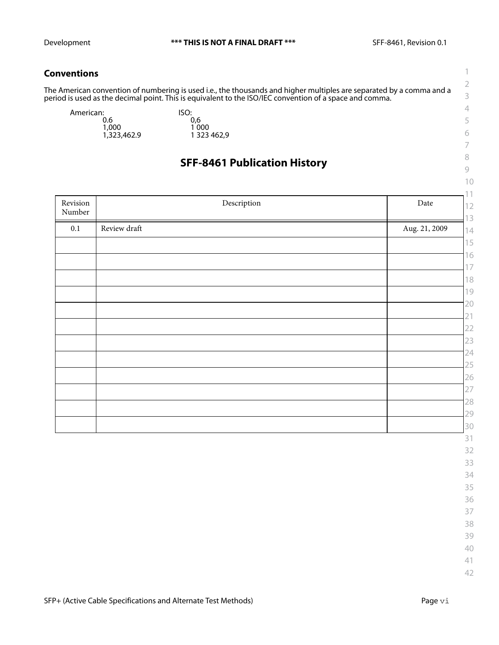## **Conventions**

The American convention of numbering is used i.e., the thousands and higher multiples are separated by a comma and a period is used as the decimal point. This is equivalent to the ISO/IEC convention of a space and comma.

| American:       | ISO: |
|-----------------|------|
| 0.6             |      |
| 1,000           |      |
| 1 2 2 2 4 4 2 0 |      |

| ISO:        |
|-------------|
| 0.6         |
| 1 000       |
| 1 323 462.9 |
|             |

## **SFF-8461 Publication History**

| $\operatorname{Description}$ | ${\rm Date}$  |
|------------------------------|---------------|
| Review draft                 | Aug. 21, 2009 |
|                              |               |
|                              |               |
|                              |               |
|                              |               |
|                              |               |
|                              |               |
|                              |               |
|                              |               |
|                              |               |
|                              |               |
|                              |               |
|                              |               |
|                              |               |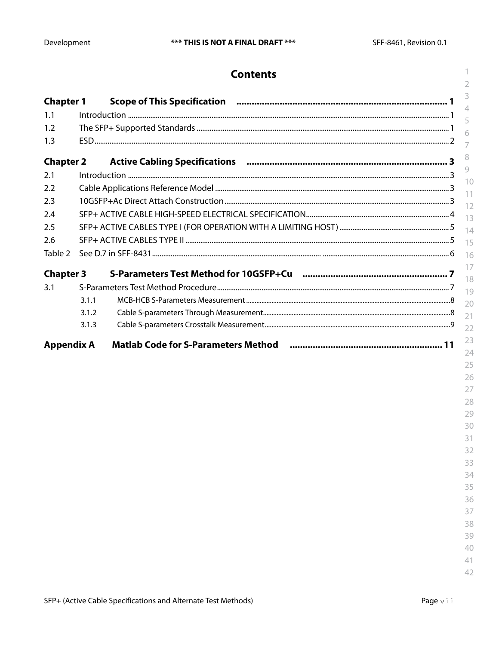|                   |       | <b>Contents</b>                                                                  |
|-------------------|-------|----------------------------------------------------------------------------------|
| <b>Chapter 1</b>  |       | 2<br>3                                                                           |
| 1.1               |       | $\overline{4}$                                                                   |
| 1.2               |       | 5                                                                                |
| 1.3               |       | 6<br>$\overline{7}$                                                              |
| <b>Chapter 2</b>  |       | 8                                                                                |
| 2.1               |       | 9                                                                                |
| 2.2               |       | 10                                                                               |
| 2.3               |       | 11                                                                               |
| 2.4               |       | 12<br>13                                                                         |
| 2.5               |       | 14                                                                               |
| 2.6               |       | 15                                                                               |
| Table 2           |       | 16                                                                               |
|                   |       | 17                                                                               |
| <b>Chapter 3</b>  |       | 18                                                                               |
| 3.1               |       | 19                                                                               |
|                   | 3.1.1 | 20                                                                               |
|                   | 3.1.2 | 21                                                                               |
|                   | 3.1.3 | 22                                                                               |
|                   |       | 23                                                                               |
| <b>Appendix A</b> |       | Matlab Code for S-Parameters Method (and manuminum manuminum manuminum 11)<br>24 |
|                   |       | 25                                                                               |
|                   |       | 26                                                                               |
|                   |       | 27                                                                               |
|                   |       | 28                                                                               |
|                   |       | 29                                                                               |
|                   |       | 30                                                                               |
|                   |       | 31                                                                               |
|                   |       | 32                                                                               |
|                   |       | 33                                                                               |
|                   |       | 34                                                                               |
|                   |       | 35                                                                               |
|                   |       | 36                                                                               |
|                   |       | 37                                                                               |
|                   |       | 38                                                                               |
|                   |       | 39                                                                               |
|                   |       | 40                                                                               |

- $41$
- 42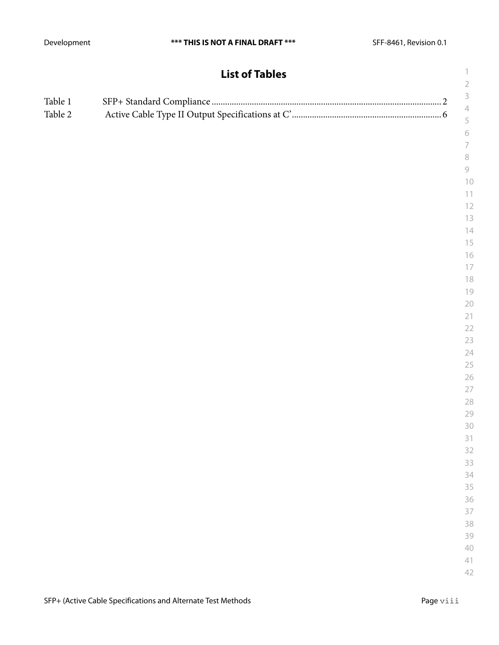|         | <b>List of Tables</b> |                                                           |
|---------|-----------------------|-----------------------------------------------------------|
|         |                       | $\overline{2}$<br>$\mathsf S$                             |
| Table 1 |                       | $\ensuremath{\mathnormal{\mathcal{A}}}\xspace$            |
| Table 2 |                       | 5                                                         |
|         |                       | $\sqrt{6}$                                                |
|         |                       | $\overline{ }$                                            |
|         |                       | 8                                                         |
|         |                       | $\mathcal{G}% _{M_{1},M_{2}}^{\alpha,\beta}(\mathcal{G})$ |
|         |                       | 10                                                        |
|         |                       | $\begin{smallmatrix} 1 & 1 \end{smallmatrix}$             |
|         |                       | 12                                                        |
|         |                       | 13                                                        |
|         |                       | 14                                                        |
|         |                       | 15                                                        |
|         |                       | 16                                                        |
|         |                       | 17                                                        |
|         |                       | 18                                                        |
|         |                       | 19                                                        |
|         |                       | 20<br>21                                                  |
|         |                       | 22                                                        |
|         |                       | 23                                                        |
|         |                       | 24                                                        |
|         |                       | 25                                                        |
|         |                       | 26                                                        |
|         |                       | 27                                                        |
|         |                       | 28                                                        |
|         |                       | 29                                                        |
|         |                       | 30                                                        |
|         |                       | 31                                                        |
|         |                       | 32                                                        |
|         |                       | 33                                                        |
|         |                       | 34                                                        |
|         |                       | 35                                                        |
|         |                       | 36                                                        |
|         |                       | 37                                                        |
|         |                       | 38                                                        |
|         |                       | 39                                                        |
|         |                       | $40^{\circ}$                                              |
|         |                       | 41<br>42                                                  |
|         |                       |                                                           |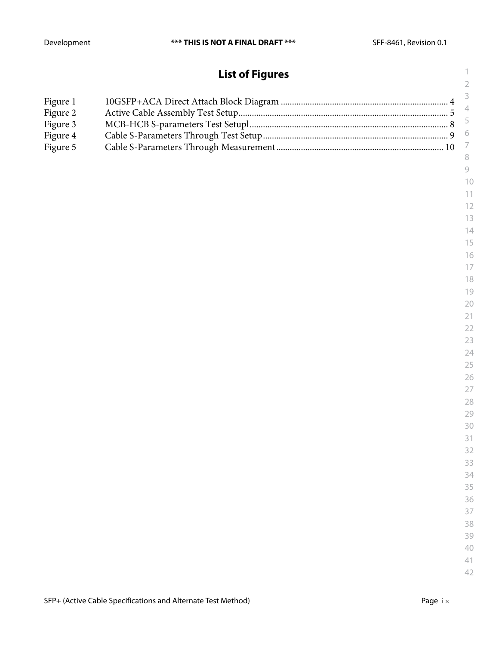# **List of Figures**

| Figure 1 |  |
|----------|--|
| Figure 2 |  |
| Figure 3 |  |
| Figure 4 |  |
| Figure 5 |  |
|          |  |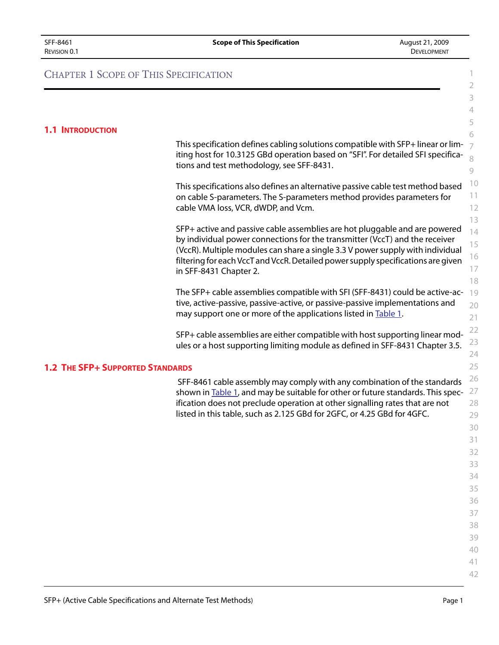## <span id="page-9-0"></span>CHAPTER 1 SCOPE OF THIS SPECIFICATION

<span id="page-9-2"></span><span id="page-9-1"></span>

|                                         |                                                                                                                                                                      | 3                                                                                                                                                                                     |
|-----------------------------------------|----------------------------------------------------------------------------------------------------------------------------------------------------------------------|---------------------------------------------------------------------------------------------------------------------------------------------------------------------------------------|
|                                         |                                                                                                                                                                      | 4                                                                                                                                                                                     |
|                                         |                                                                                                                                                                      | 5                                                                                                                                                                                     |
| <b>1.1 INTRODUCTION</b>                 |                                                                                                                                                                      | 6                                                                                                                                                                                     |
|                                         | This specification defines cabling solutions compatible with SFP+ linear or lim-<br>iting host for 10.3125 GBd operation based on "SFI". For detailed SFI specifica- |                                                                                                                                                                                       |
|                                         | tions and test methodology, see SFF-8431.                                                                                                                            | 9                                                                                                                                                                                     |
|                                         | This specifications also defines an alternative passive cable test method based                                                                                      | 10                                                                                                                                                                                    |
|                                         | on cable S-parameters. The S-parameters method provides parameters for                                                                                               |                                                                                                                                                                                       |
|                                         | cable VMA loss, VCR, dWDP, and Vcm.                                                                                                                                  |                                                                                                                                                                                       |
|                                         | SFP+ active and passive cable assemblies are hot pluggable and are powered                                                                                           |                                                                                                                                                                                       |
|                                         | by individual power connections for the transmitter (VccT) and the receiver                                                                                          |                                                                                                                                                                                       |
|                                         | (VccR). Multiple modules can share a single 3.3 V power supply with individual                                                                                       |                                                                                                                                                                                       |
|                                         | filtering for each VccT and VccR. Detailed power supply specifications are given                                                                                     |                                                                                                                                                                                       |
|                                         | in SFF-8431 Chapter 2.                                                                                                                                               |                                                                                                                                                                                       |
|                                         | The SFP+ cable assemblies compatible with SFI (SFF-8431) could be active-ac-                                                                                         | 19                                                                                                                                                                                    |
|                                         | tive, active-passive, passive-active, or passive-passive implementations and                                                                                         | 20                                                                                                                                                                                    |
|                                         | may support one or more of the applications listed in Table 1.                                                                                                       | $\overline{7}$<br>8<br>11<br>12<br>13<br>14<br>15<br>16<br>17<br>18<br>21<br>22<br>23<br>24<br>25<br>26<br>27<br>28<br>29<br>30<br>31<br>32<br>33<br>34<br>35<br>36<br>37<br>38<br>39 |
|                                         | SFP+ cable assemblies are either compatible with host supporting linear mod-                                                                                         |                                                                                                                                                                                       |
|                                         | ules or a host supporting limiting module as defined in SFF-8431 Chapter 3.5.                                                                                        |                                                                                                                                                                                       |
|                                         |                                                                                                                                                                      |                                                                                                                                                                                       |
| <b>1.2 THE SFP+ SUPPORTED STANDARDS</b> |                                                                                                                                                                      |                                                                                                                                                                                       |
|                                         | SFF-8461 cable assembly may comply with any combination of the standards                                                                                             |                                                                                                                                                                                       |
|                                         | shown in Table 1, and may be suitable for other or future standards. This spec-<br>ification does not preclude operation at other signalling rates that are not      |                                                                                                                                                                                       |
|                                         | listed in this table, such as 2.125 GBd for 2GFC, or 4.25 GBd for 4GFC.                                                                                              |                                                                                                                                                                                       |
|                                         |                                                                                                                                                                      |                                                                                                                                                                                       |
|                                         |                                                                                                                                                                      |                                                                                                                                                                                       |
|                                         |                                                                                                                                                                      |                                                                                                                                                                                       |
|                                         |                                                                                                                                                                      |                                                                                                                                                                                       |
|                                         |                                                                                                                                                                      |                                                                                                                                                                                       |
|                                         |                                                                                                                                                                      |                                                                                                                                                                                       |
|                                         |                                                                                                                                                                      |                                                                                                                                                                                       |
|                                         |                                                                                                                                                                      |                                                                                                                                                                                       |
|                                         |                                                                                                                                                                      |                                                                                                                                                                                       |
|                                         |                                                                                                                                                                      |                                                                                                                                                                                       |
|                                         |                                                                                                                                                                      | 40                                                                                                                                                                                    |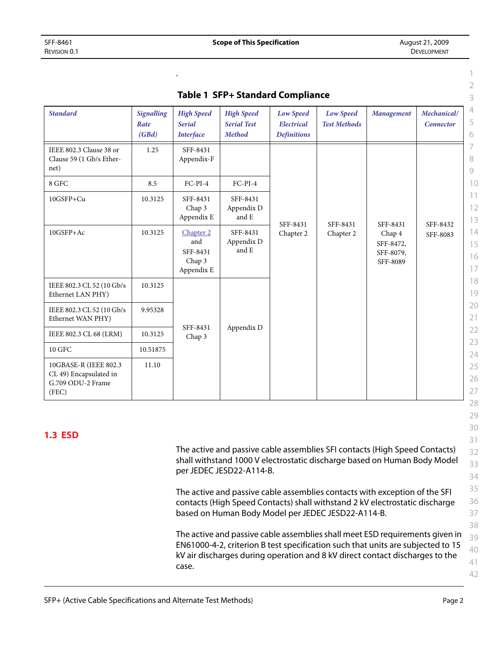<span id="page-10-1"></span>

| Table 1 SFP+ Standard Compilance<br>3                                         |                                    |                                                        |                                                                                                                      |                                                      |                                         |            |                                              |          |  |  |
|-------------------------------------------------------------------------------|------------------------------------|--------------------------------------------------------|----------------------------------------------------------------------------------------------------------------------|------------------------------------------------------|-----------------------------------------|------------|----------------------------------------------|----------|--|--|
| <b>Standard</b>                                                               | <b>Signalling</b><br>Rate<br>(GBd) | <b>High Speed</b><br><b>Serial</b><br><b>Interface</b> | <b>High Speed</b><br><b>Serial Test</b><br><b>Method</b>                                                             | <b>Low Speed</b><br>Electrical<br><b>Definitions</b> | <b>Low Speed</b><br><b>Test Methods</b> | Management | Mechanical/<br><b>Connector</b>              |          |  |  |
| IEEE 802.3 Clause 38 or<br>Clause 59 (1 Gb/s Ether-<br>net)                   | 1.25                               | SFF-8431<br>Appendix-F                                 |                                                                                                                      |                                                      |                                         |            |                                              |          |  |  |
| 8 GFC                                                                         | 8.5                                | $FC-PI-4$                                              | $FC-PI-4$                                                                                                            |                                                      |                                         |            |                                              |          |  |  |
| 10GSFP+Cu                                                                     | 10.3125                            | SFF-8431<br>Chap 3<br>Appendix E                       | SFF-8431<br>Appendix D<br>and E<br>SFF-8431<br>SFF-8431<br>SFF-8431<br>Chapter 2<br>Chapter 2<br>Appendix D<br>and E |                                                      |                                         | SFF-8431   | SFF-8432                                     |          |  |  |
| 10GSFP+Ac                                                                     | 10.3125                            | Chapter 2<br>and<br>SFF-8431<br>Chap 3<br>Appendix E   |                                                                                                                      |                                                      |                                         |            | Chap 4<br>SFF-8472,<br>SFF-8079,<br>SFF-8089 | SFF-8083 |  |  |
| IEEE 802.3 CL 52 (10 Gb/s)<br>Ethernet LAN PHY)                               | 10.3125                            |                                                        |                                                                                                                      |                                                      |                                         |            |                                              |          |  |  |
| IEEE 802.3 CL 52 (10 Gb/s)<br>Ethernet WAN PHY)                               | 9.95328                            |                                                        |                                                                                                                      |                                                      |                                         |            |                                              |          |  |  |
| IEEE 802.3 CL 68 (LRM)                                                        | 10.3125                            | SFF-8431<br>Chap 3                                     | Appendix D                                                                                                           |                                                      |                                         |            |                                              |          |  |  |
| 10 GFC                                                                        | 10.51875                           |                                                        |                                                                                                                      |                                                      |                                         |            |                                              |          |  |  |
| 10GBASE-R (IEEE 802.3<br>CL 49) Encapsulated in<br>G.709 ODU-2 Frame<br>(FEC) | 11.10                              |                                                        |                                                                                                                      |                                                      |                                         |            |                                              |          |  |  |

## **Table 1 SFP+ Standard Compliance**

.

## <span id="page-10-0"></span>**1.3 ESD**

<span id="page-10-2"></span>The active and passive cable assemblies SFI contacts (High Speed Contacts) shall withstand 1000 V electrostatic discharge based on Human Body Model per JEDEC JESD22-A114-B.

The active and passive cable assemblies contacts with exception of the SFI contacts (High Speed Contacts) shall withstand 2 kV electrostatic discharge based on Human Body Model per JEDEC JESD22-A114-B.

The active and passive cable assemblies shall meet ESD requirements given in EN61000-4-2, criterion B test specification such that units are subjected to 15 kV air discharges during operation and 8 kV direct contact discharges to the case.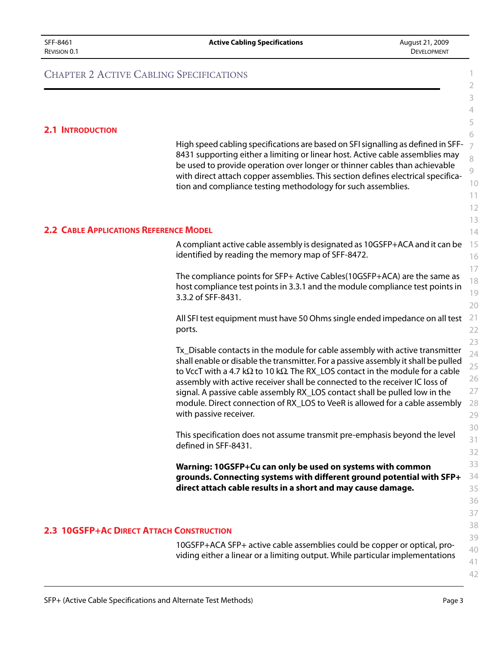## <span id="page-11-0"></span>CHAPTER 2 ACTIVE CABLING SPECIFICATIONS

#### <span id="page-11-1"></span>**2.1 INTRODUCTION**

High speed cabling specifications are based on SFI signalling as defined in SFF-8431 supporting either a limiting or linear host. Active cable assemblies may be used to provide operation over longer or thinner cables than achievable with direct attach copper assemblies. This section defines electrical specification and compliance testing methodology for such assemblies.

#### <span id="page-11-2"></span>**2.2 CABLE APPLICATIONS REFERENCE MODEL**

A compliant active cable assembly is designated as 10GSFP+ACA and it can be identified by reading the memory map of SFF-8472.

The compliance points for SFP+ Active Cables(10GSFP+ACA) are the same as host compliance test points in 3.3.1 and the module compliance test points in 3.3.2 of SFF-8431.

21 22 All SFI test equipment must have 50 Ohms single ended impedance on all test ports.

Tx\_Disable contacts in the module for cable assembly with active transmitter shall enable or disable the transmitter. For a passive assembly it shall be pulled to VccT with a 4.7 kΩ to 10 kΩ. The RX LOS contact in the module for a cable assembly with active receiver shall be connected to the receiver IC loss of signal. A passive cable assembly RX\_LOS contact shall be pulled low in the module. Direct connection of RX\_LOS to VeeR is allowed for a cable assembly with passive receiver.

This specification does not assume transmit pre-emphasis beyond the level defined in SFF-8431.

**Warning: 10GSFP+Cu can only be used on systems with common grounds. Connecting systems with different ground potential with SFP+ direct attach cable results in a short and may cause damage.**

#### <span id="page-11-3"></span>**2.3 10GSFP+AC DIRECT ATTACH CONSTRUCTION**

10GSFP+ACA SFP+ active cable assemblies could be copper or optical, providing either a linear or a limiting output. While particular implementations

40 41 42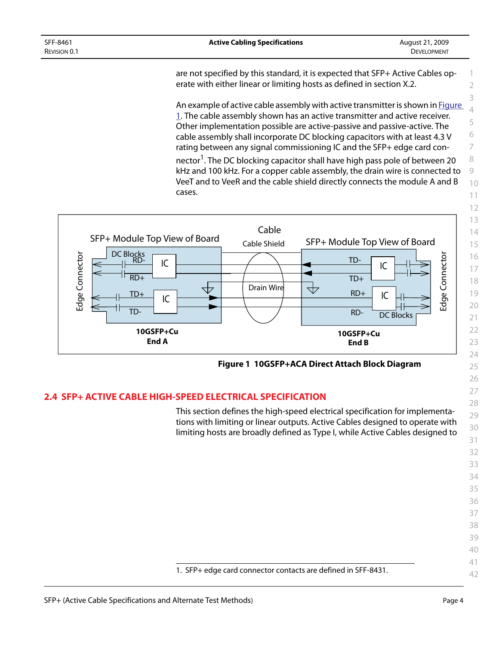are not specified by this standard, it is expected that SFP+ Active Cables operate with either linear or limiting hosts as defined in section X.2.

An example of active cable assembly with active transmitter is shown in [Figure](#page-12-1)  [1.](#page-12-1) The cable assembly shown has an active transmitter and active receiver. Other implementation possible are active-passive and passive-active. The cable assembly shall incorporate DC blocking capacitors with at least 4.3 V rating between any signal commissioning IC and the SFP+ edge card con-

nector<sup>1</sup>. The DC blocking capacitor shall have high pass pole of between 20 kHz and 100 kHz. For a copper cable assembly, the drain wire is connected to VeeT and to VeeR and the cable shield directly connects the module A and B cases.



<span id="page-12-1"></span>**Figure 1 10GSFP+ACA Direct Attach Block Diagram**

## <span id="page-12-0"></span>**2.4 SFP+ ACTIVE CABLE HIGH-SPEED ELECTRICAL SPECIFICATION**

This section defines the high-speed electrical specification for implementations with limiting or linear outputs. Active Cables designed to operate with limiting hosts are broadly defined as Type I, while Active Cables designed to

1. SFP+ edge card connector contacts are defined in SFF-8431.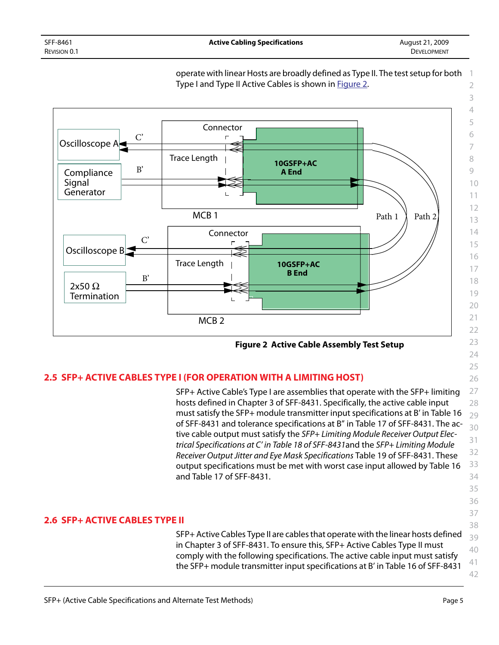

operate with linear Hosts are broadly defined as Type II. The test setup for both



## <span id="page-13-0"></span>**2.5 SFP+ ACTIVE CABLES TYPE I (FOR OPERATION WITH A LIMITING HOST)**

<span id="page-13-2"></span>SFP+ Active Cable's Type I are assemblies that operate with the SFP+ limiting hosts defined in Chapter 3 of SFF-8431. Specifically, the active cable input must satisfy the SFP+ module transmitter input specifications at B' in Table 16 of SFF-8431 and tolerance specifications at B" in Table 17 of SFF-8431. The active cable output must satisfy the *SFP+ Limiting Module Receiver Output Electrical Specifications at C' in Table 18 of SFF-8431*and the *SFP+ Limiting Module Receiver Output Jitter and Eye Mask Specifications* Table 19 of SFF-8431. These output specifications must be met with worst case input allowed by Table 16 and Table 17 of SFF-8431.

#### <span id="page-13-1"></span>**2.6 SFP+ ACTIVE CABLES TYPE II**

SFP+ Active Cables Type II are cables that operate with the linear hosts defined in Chapter 3 of SFF-8431. To ensure this, SFP+ Active Cables Type II must comply with the following specifications. The active cable input must satisfy the SFP+ module transmitter input specifications at B' in Table 16 of SFF-8431

```
6
7
8
9
10
11
12
13
14
15
16
17
18
19
20
21
22
23
24
25
26
27
28
29
30
31
32
33
34
35
36
37
38
39
40
41
42
```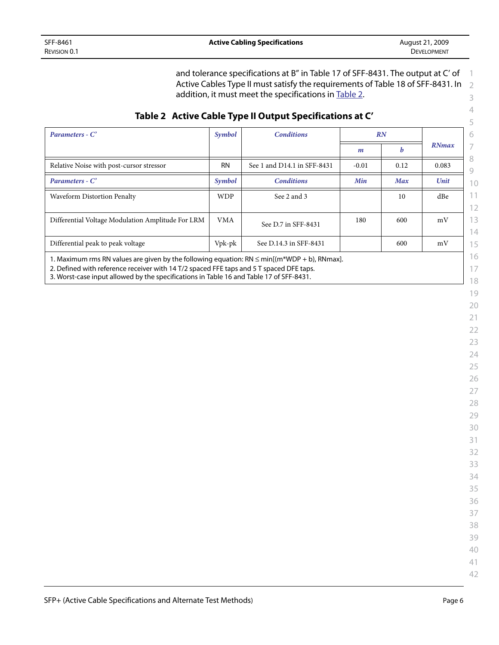and tolerance specifications at B" in Table 17 of SFF-8431. The output at C' of Active Cables Type II must satisfy the requirements of Table 18 of SFF-8431. In addition, it must meet the specifications in Table 2.

## <span id="page-14-0"></span>**Table 2 Active Cable Type II Output Specifications at C'**

<span id="page-14-1"></span>

| Parameters - C'                                                                                                                                                                                                                                                                         | Symbol     | <b>Conditions</b>           | RN               |            |              | 6              |
|-----------------------------------------------------------------------------------------------------------------------------------------------------------------------------------------------------------------------------------------------------------------------------------------|------------|-----------------------------|------------------|------------|--------------|----------------|
|                                                                                                                                                                                                                                                                                         |            |                             | $\boldsymbol{m}$ | b          | <b>RNmax</b> |                |
| Relative Noise with post-cursor stressor                                                                                                                                                                                                                                                | <b>RN</b>  | See 1 and D14.1 in SFF-8431 | $-0.01$          | 0.12       | 0.083        | 8<br>9         |
| Parameters - C'                                                                                                                                                                                                                                                                         | Symbol     | <b>Conditions</b>           | Min              | <b>Max</b> | Unit         | 10             |
| Waveform Distortion Penalty                                                                                                                                                                                                                                                             | <b>WDP</b> | See 2 and 3                 |                  | 10         | $dB$ e       | 11<br>12       |
| Differential Voltage Modulation Amplitude For LRM                                                                                                                                                                                                                                       | <b>VMA</b> | See D.7 in SFF-8431         | 180              | 600        | mV           | 13<br>14       |
| Differential peak to peak voltage                                                                                                                                                                                                                                                       | Vpk-pk     | See D.14.3 in SFF-8431      |                  | 600        | mV           | 15             |
| 1. Maximum rms RN values are given by the following equation: $RN \leq min[(m*WDP + b), RNmax]$ .<br>2. Defined with reference receiver with 14 T/2 spaced FFE taps and 5 T spaced DFE taps.<br>3. Worst-case input allowed by the specifications in Table 16 and Table 17 of SFF-8431. |            |                             |                  |            |              | 16<br>17<br>10 |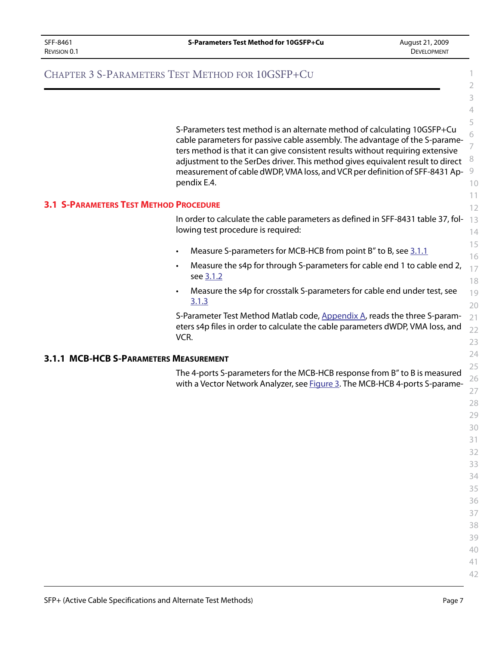## <span id="page-15-0"></span>CHAPTER 3 S-PARAMETERS TEST METHOD FOR 10GSFP+CU

 S-Parameters test method is an alternate method of calculating 10GSFP+Cu cable parameters for passive cable assembly. The advantage of the S-parameters method is that it can give consistent results without requiring extensive adjustment to the SerDes driver. This method gives equivalent result to direct measurement of cable dWDP, VMA loss, and VCR per definition of SFF-8431 Appendix E.4.

#### <span id="page-15-1"></span>**3.1 S-PARAMETERS TEST METHOD PROCEDURE**

 In order to calculate the cable parameters as defined in SFF-8431 table 37, following test procedure is required:

- Measure S-parameters for MCB-HCB from point B" to B, see [3.1.1](#page-15-2)
- • Measure the s4p for through S-parameters for cable end 1 to cable end 2, see [3.1.2](#page-16-0)
- Measure the s4p for crosstalk S-parameters for cable end under test, see [3.1.3](#page-17-0)

S-Parameter Test Method Matlab code, [Appendix A,](#page-19-1) reads the three S-parameters s4p files in order to calculate the cable parameters dWDP, VMA loss, and VCR.

#### <span id="page-15-2"></span>**3.1.1 MCB-HCB S-PARAMETERS MEASUREMENT**

The 4-ports S-parameters for the MCB-HCB response from B" to B is measured with a Vector Network Analyzer, see **Figure 3**. The MCB-HCB 4-ports S-parame-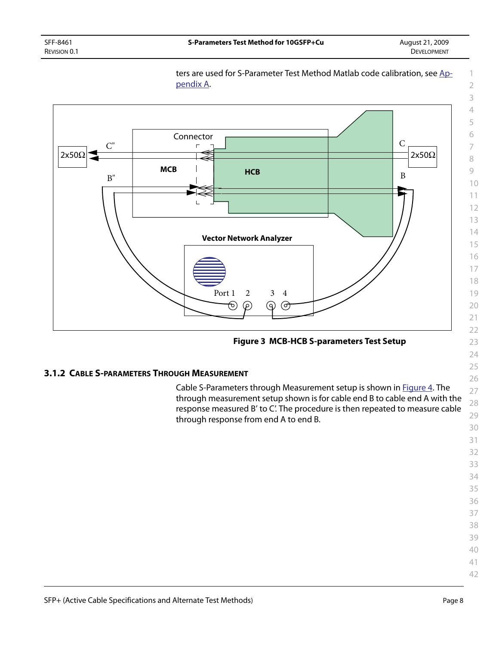

ters are used for S-Parameter Test Method Matlab code calibration, see [Ap](#page-19-1)[pendix A.](#page-19-1)

**Figure 3 MCB-HCB S-parameters Test Setup**

## <span id="page-16-0"></span>**3.1.2 CABLE S-PARAMETERS THROUGH MEASUREMENT**

<span id="page-16-1"></span>Cable S-Parameters through Measurement setup is shown in **Figure 4**. The through measurement setup shown is for cable end B to cable end A with the response measured B' to C'. The procedure is then repeated to measure cable through response from end A to end B.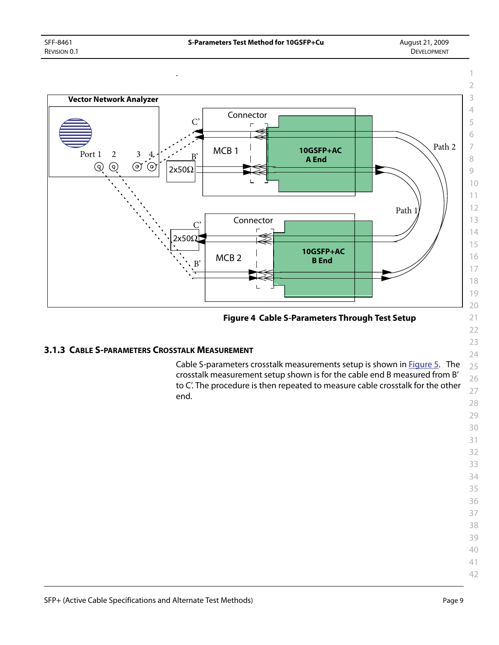

**Figure 4 Cable S-Parameters Through Test Setup**

## <span id="page-17-0"></span>**3.1.3 CABLE S-PARAMETERS CROSSTALK MEASUREMENT**

.

<span id="page-17-1"></span>Cable S-parameters crosstalk measurements setup is shown in [Figure 5](#page-18-0). The crosstalk measurement setup shown is for the cable end B measured from B' to C'. The procedure is then repeated to measure cable crosstalk for the other end.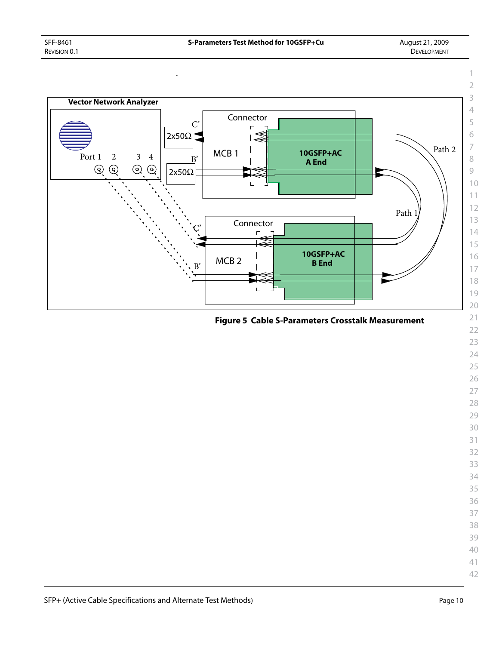.



<span id="page-18-0"></span>**Figure 5 Cable S-Parameters Crosstalk Measurement**